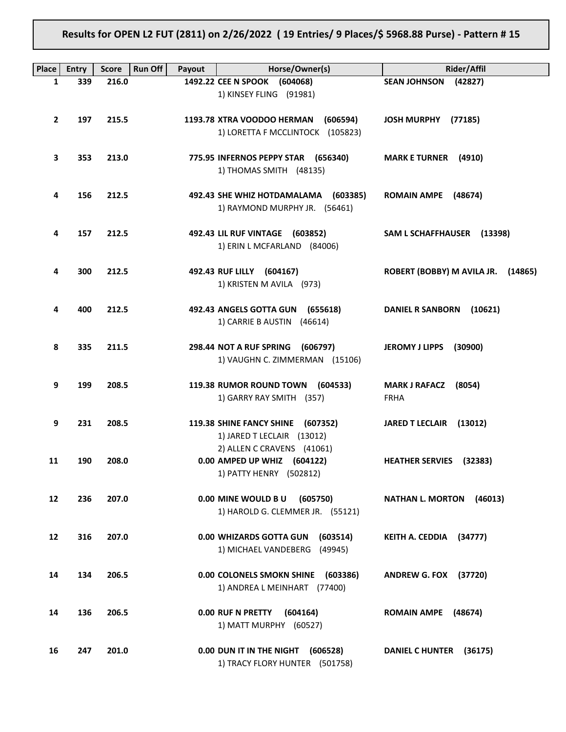# Results for OPEN L2 FUT (2811) on 2/26/2022 ( 19 Entries/ 9 Places/\$ 5968.88 Purse) - Pattern # 15

| Place             | <b>Entry</b> | <b>Run Off</b><br><b>Score</b> | Payout | Horse/Owner(s)                         | <b>Rider/Affil</b>                 |
|-------------------|--------------|--------------------------------|--------|----------------------------------------|------------------------------------|
| 1                 | 339          | 216.0                          |        | <b>1492.22 CEE N SPOOK</b><br>(604068) | <b>SEAN JOHNSON</b><br>(42827)     |
|                   |              |                                |        | 1) KINSEY FLING (91981)                |                                    |
|                   |              |                                |        |                                        |                                    |
| $\mathbf{2}$      | 197          | 215.5                          |        | 1193.78 XTRA VOODOO HERMAN<br>(606594) | JOSH MURPHY (77185)                |
|                   |              |                                |        | 1) LORETTA F MCCLINTOCK (105823)       |                                    |
|                   |              |                                |        |                                        |                                    |
| 3                 | 353          | 213.0                          |        | 775.95 INFERNOS PEPPY STAR (656340)    | (4910)<br><b>MARK E TURNER</b>     |
|                   |              |                                |        | 1) THOMAS SMITH (48135)                |                                    |
|                   |              |                                |        |                                        |                                    |
| 4                 | 156          | 212.5                          |        | 492.43 SHE WHIZ HOTDAMALAMA (603385)   | ROMAIN AMPE (48674)                |
|                   |              |                                |        | 1) RAYMOND MURPHY JR. (56461)          |                                    |
|                   |              |                                |        |                                        |                                    |
| 4                 | 157          | 212.5                          |        | 492.43 LIL RUF VINTAGE (603852)        | SAM L SCHAFFHAUSER (13398)         |
|                   |              |                                |        |                                        |                                    |
|                   |              |                                |        | 1) ERIN L MCFARLAND (84006)            |                                    |
|                   |              |                                |        |                                        |                                    |
| 4                 | 300          | 212.5                          |        | 492.43 RUF LILLY (604167)              | ROBERT (BOBBY) M AVILA JR. (14865) |
|                   |              |                                |        | 1) KRISTEN M AVILA (973)               |                                    |
|                   |              |                                |        |                                        |                                    |
| 4                 | 400          | 212.5                          |        | 492.43 ANGELS GOTTA GUN (655618)       | <b>DANIEL R SANBORN</b><br>(10621) |
|                   |              |                                |        | 1) CARRIE B AUSTIN (46614)             |                                    |
|                   |              |                                |        |                                        |                                    |
| 8                 | 335          | 211.5                          |        | 298.44 NOT A RUF SPRING<br>(606797)    | <b>JEROMY J LIPPS</b><br>(30900)   |
|                   |              |                                |        | 1) VAUGHN C. ZIMMERMAN (15106)         |                                    |
|                   |              |                                |        |                                        |                                    |
| 9                 | 199          | 208.5                          |        | 119.38 RUMOR ROUND TOWN (604533)       | <b>MARK J RAFACZ</b><br>(8054)     |
|                   |              |                                |        | 1) GARRY RAY SMITH (357)               | <b>FRHA</b>                        |
|                   |              |                                |        |                                        |                                    |
| 9                 | 231          | 208.5                          |        | 119.38 SHINE FANCY SHINE (607352)      | (13012)<br><b>JARED T LECLAIR</b>  |
|                   |              |                                |        | 1) JARED T LECLAIR (13012)             |                                    |
|                   |              |                                |        | 2) ALLEN C CRAVENS (41061)             |                                    |
| 11                | 190          | 208.0                          |        | 0.00 AMPED UP WHIZ (604122)            | <b>HEATHER SERVIES (32383)</b>     |
|                   |              |                                |        | 1) PATTY HENRY (502812)                |                                    |
|                   |              |                                |        |                                        |                                    |
| $12 \overline{ }$ | 236          | 207.0                          |        | 0.00 MINE WOULD BU<br>(605750)         | <b>NATHAN L. MORTON</b><br>(46013) |
|                   |              |                                |        | 1) HAROLD G. CLEMMER JR. (55121)       |                                    |
|                   |              |                                |        |                                        |                                    |
| 12                | 316          | 207.0                          |        | 0.00 WHIZARDS GOTTA GUN<br>(603514)    | KEITH A. CEDDIA (34777)            |
|                   |              |                                |        | 1) MICHAEL VANDEBERG (49945)           |                                    |
|                   |              |                                |        |                                        |                                    |
| 14                | 134          | 206.5                          |        | 0.00 COLONELS SMOKN SHINE (603386)     | <b>ANDREW G. FOX (37720)</b>       |
|                   |              |                                |        | 1) ANDREA L MEINHART (77400)           |                                    |
|                   |              |                                |        |                                        |                                    |
| 14                | 136          | 206.5                          |        | 0.00 RUF N PRETTY<br>(604164)          | ROMAIN AMPE (48674)                |
|                   |              |                                |        | 1) MATT MURPHY (60527)                 |                                    |
|                   |              |                                |        |                                        |                                    |
| 16                | 247          | 201.0                          |        | 0.00 DUN IT IN THE NIGHT<br>(606528)   | <b>DANIEL C HUNTER</b><br>(36175)  |
|                   |              |                                |        | 1) TRACY FLORY HUNTER (501758)         |                                    |
|                   |              |                                |        |                                        |                                    |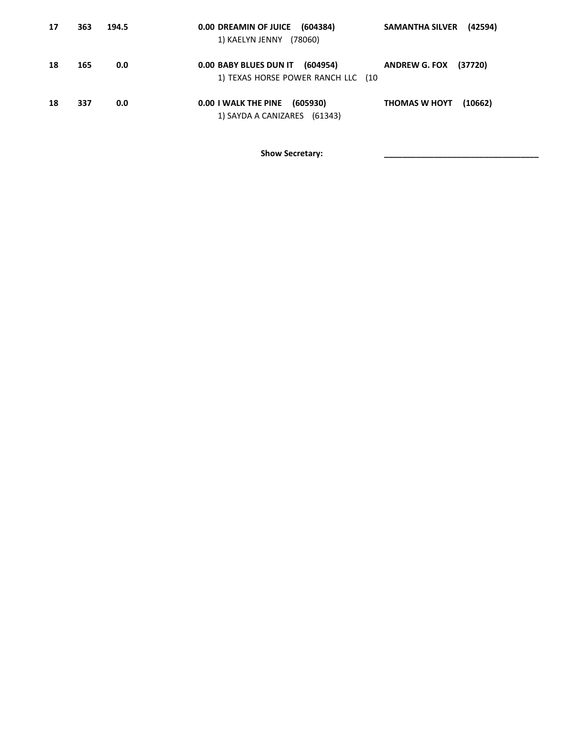| 17 | 363 | 194.5 | 0.00 DREAMIN OF JUICE (604384)<br>1) KAELYN JENNY<br>(78060)             | <b>SAMANTHA SILVER</b><br>(42594) |
|----|-----|-------|--------------------------------------------------------------------------|-----------------------------------|
| 18 | 165 | 0.0   | 0.00 BABY BLUES DUN IT<br>(604954)<br>1) TEXAS HORSE POWER RANCH LLC (10 | <b>ANDREW G. FOX (37720)</b>      |
| 18 | 337 | 0.0   | 0.00 I WALK THE PINE (605930)<br>1) SAYDA A CANIZARES (61343)            | <b>THOMAS W HOYT</b><br>(10662)   |

Show Secretary: